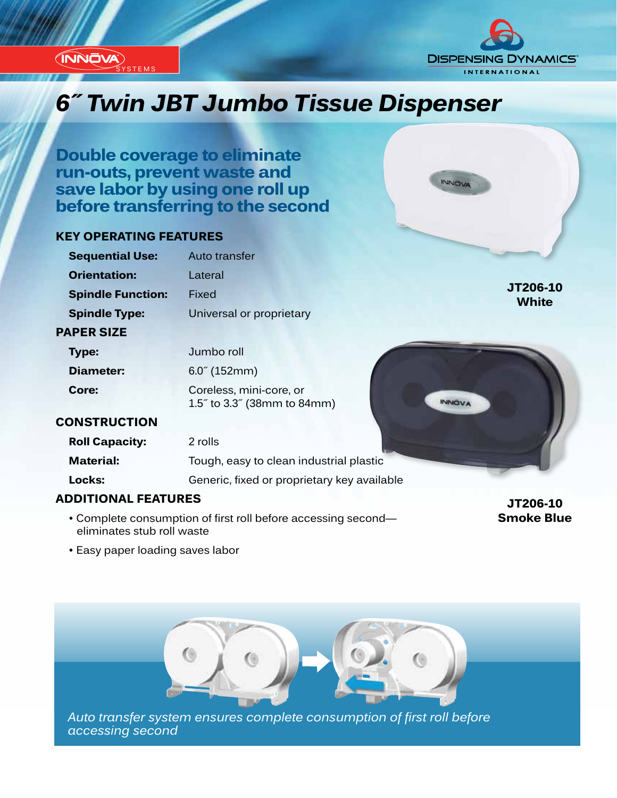

**STEMS** 



INNOVA

## *Innovation...Design...Solutions 6˝ Twin JBT Jumbo Tissue Dispenser*

**Double coverage to eliminate run-outs, prevent waste and save labor by using one roll up before transferring to the second**

#### **KEY OPERATING FEATURES**

| <b>Sequential Use:</b>   | Auto transfer                                                          |                          |
|--------------------------|------------------------------------------------------------------------|--------------------------|
| <b>Orientation:</b>      | Lateral                                                                |                          |
| <b>Spindle Function:</b> | Fixed                                                                  | JT206-10<br><b>White</b> |
| <b>Spindle Type:</b>     | Universal or proprietary                                               |                          |
| <b>PAPER SIZE</b>        |                                                                        |                          |
| <b>Type:</b>             | Jumbo roll                                                             |                          |
| <b>Diameter:</b>         | $6.0^{\circ}$ (152mm)                                                  |                          |
| Core:                    | Coreless, mini-core, or<br>1.5" to 3.3" (38mm to 84mm)<br><b>INNOV</b> |                          |
| <b>CONSTRUCTION</b>      |                                                                        |                          |
| <b>Roll Capacity:</b>    | 2 rolls                                                                |                          |
| <b>Material:</b>         | Tough, easy to clean industrial plastic                                |                          |
| Locks:                   | Generic, fixed or proprietary key available                            |                          |

#### **ADDITIONAL FEATURES**

• Easy paper loading saves labor

• Complete consumption of first roll before accessing second eliminates stub roll waste

**JT206-10 Smoke Blue**

*Auto transfer system ensures complete consumption of first roll before accessing second*